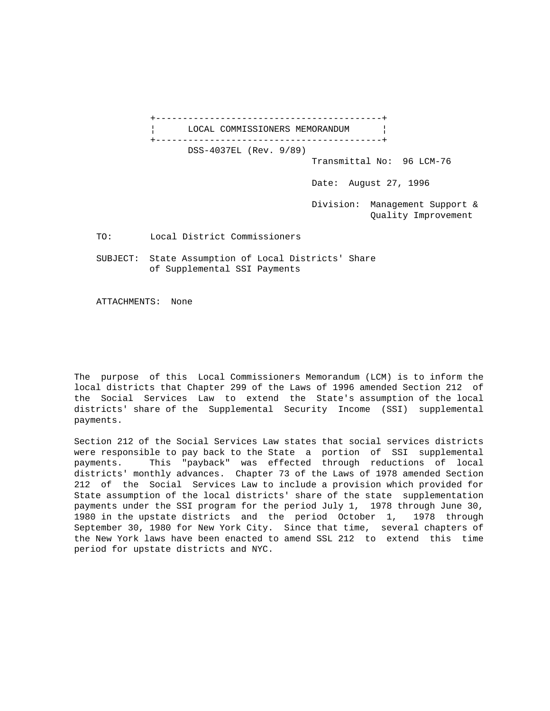+------------------------------------------+ LOCAL COMMISSIONERS MEMORANDUM | +------------------------------------------+ DSS-4037EL (Rev. 9/89) Transmittal No: 96 LCM-76 Date: August 27, 1996 Division: Management Support & Quality Improvement TO: Local District Commissioners SUBJECT: State Assumption of Local Districts' Share of Supplemental SSI Payments

ATTACHMENTS: None

The purpose of this Local Commissioners Memorandum (LCM) is to inform the local districts that Chapter 299 of the Laws of 1996 amended Section 212 of the Social Services Law to extend the State's assumption of the local districts' share of the Supplemental Security Income (SSI) supplemental payments.

Section 212 of the Social Services Law states that social services districts were responsible to pay back to the State a portion of SSI supplemental payments. This "payback" was effected through reductions of local districts' monthly advances. Chapter 73 of the Laws of 1978 amended Section 212 of the Social Services Law to include a provision which provided for State assumption of the local districts' share of the state supplementation payments under the SSI program for the period July 1, 1978 through June 30, 1980 in the upstate districts and the period October 1, 1978 through September 30, 1980 for New York City. Since that time, several chapters of the New York laws have been enacted to amend SSL 212 to extend this time period for upstate districts and NYC.